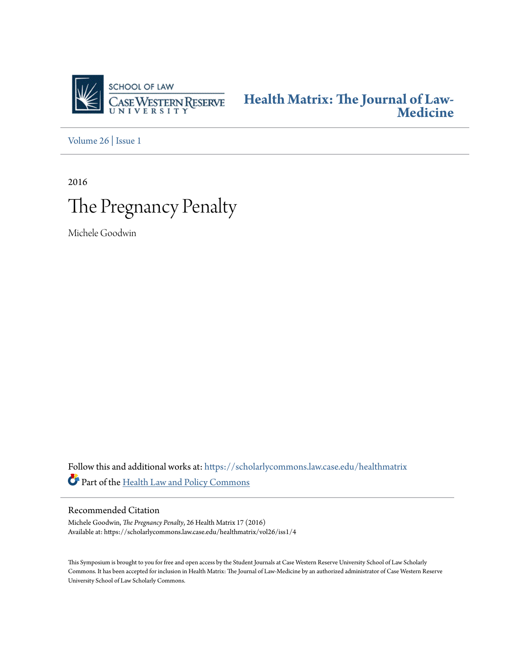

**[Health Matrix: The Journal of Law-](https://scholarlycommons.law.case.edu/healthmatrix?utm_source=scholarlycommons.law.case.edu%2Fhealthmatrix%2Fvol26%2Fiss1%2F4&utm_medium=PDF&utm_campaign=PDFCoverPages)[Medicine](https://scholarlycommons.law.case.edu/healthmatrix?utm_source=scholarlycommons.law.case.edu%2Fhealthmatrix%2Fvol26%2Fiss1%2F4&utm_medium=PDF&utm_campaign=PDFCoverPages)**

[Volume 26](https://scholarlycommons.law.case.edu/healthmatrix/vol26?utm_source=scholarlycommons.law.case.edu%2Fhealthmatrix%2Fvol26%2Fiss1%2F4&utm_medium=PDF&utm_campaign=PDFCoverPages) | [Issue 1](https://scholarlycommons.law.case.edu/healthmatrix/vol26/iss1?utm_source=scholarlycommons.law.case.edu%2Fhealthmatrix%2Fvol26%2Fiss1%2F4&utm_medium=PDF&utm_campaign=PDFCoverPages)

2016

# The Pregnancy Penalty

Michele Goodwin

Follow this and additional works at: [https://scholarlycommons.law.case.edu/healthmatrix](https://scholarlycommons.law.case.edu/healthmatrix?utm_source=scholarlycommons.law.case.edu%2Fhealthmatrix%2Fvol26%2Fiss1%2F4&utm_medium=PDF&utm_campaign=PDFCoverPages) Part of the [Health Law and Policy Commons](http://network.bepress.com/hgg/discipline/901?utm_source=scholarlycommons.law.case.edu%2Fhealthmatrix%2Fvol26%2Fiss1%2F4&utm_medium=PDF&utm_campaign=PDFCoverPages)

# Recommended Citation

Michele Goodwin, *The Pregnancy Penalty*, 26 Health Matrix 17 (2016) Available at: https://scholarlycommons.law.case.edu/healthmatrix/vol26/iss1/4

This Symposium is brought to you for free and open access by the Student Journals at Case Western Reserve University School of Law Scholarly Commons. It has been accepted for inclusion in Health Matrix: The Journal of Law-Medicine by an authorized administrator of Case Western Reserve University School of Law Scholarly Commons.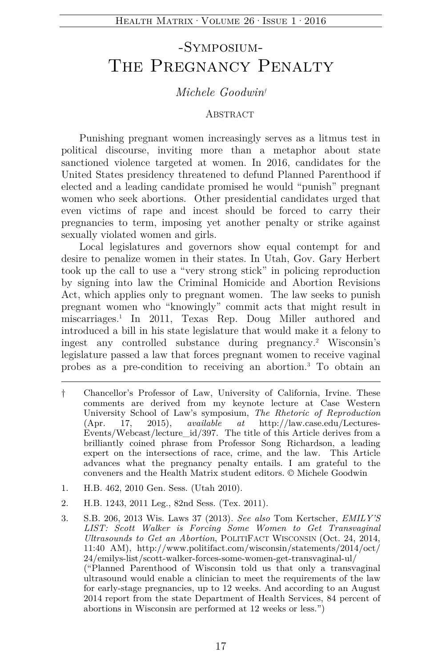# -Symposium-The Pregnancy Penalty

# *Michele Goodwin†*

#### ABSTRACT

Punishing pregnant women increasingly serves as a litmus test in political discourse, inviting more than a metaphor about state sanctioned violence targeted at women. In 2016, candidates for the United States presidency threatened to defund Planned Parenthood if elected and a leading candidate promised he would "punish" pregnant women who seek abortions. Other presidential candidates urged that even victims of rape and incest should be forced to carry their pregnancies to term, imposing yet another penalty or strike against sexually violated women and girls.

Local legislatures and governors show equal contempt for and desire to penalize women in their states. In Utah, Gov. Gary Herbert took up the call to use a "very strong stick" in policing reproduction by signing into law the Criminal Homicide and Abortion Revisions Act, which applies only to pregnant women. The law seeks to punish pregnant women who "knowingly" commit acts that might result in miscarriages.1 In 2011, Texas Rep. Doug Miller authored and introduced a bill in his state legislature that would make it a felony to ingest any controlled substance during pregnancy.2 Wisconsin's legislature passed a law that forces pregnant women to receive vaginal probes as a pre-condition to receiving an abortion.3 To obtain an

- † Chancellor's Professor of Law, University of California, Irvine. These comments are derived from my keynote lecture at Case Western University School of Law's symposium, *The Rhetoric of Reproduction* (Apr. 17, 2015), *available at* http://law.case.edu/Lectures-Events/Webcast/lecture\_id/397. The title of this Article derives from a brilliantly coined phrase from Professor Song Richardson, a leading expert on the intersections of race, crime, and the law. This Article advances what the pregnancy penalty entails. I am grateful to the conveners and the Health Matrix student editors. © Michele Goodwin
- 1. H.B. 462, 2010 Gen. Sess. (Utah 2010).
- 2. H.B. 1243, 2011 Leg., 82nd Sess. (Tex. 2011).
- 3. S.B. 206, 2013 Wis. Laws 37 (2013). *See also* Tom Kertscher, *EMILY'S LIST: Scott Walker is Forcing Some Women to Get Transvaginal Ultrasounds to Get an Abortion*, POLITIFACT WISCONSIN (Oct. 24, 2014, 11:40 AM), http://www.politifact.com/wisconsin/statements/2014/oct/ 24/emilys-list/scott-walker-forces-some-women-get-transvaginal-ul/ ("Planned Parenthood of Wisconsin told us that only a transvaginal ultrasound would enable a clinician to meet the requirements of the law for early-stage pregnancies, up to 12 weeks. And according to an August 2014 report from the state Department of Health Services, 84 percent of abortions in Wisconsin are performed at 12 weeks or less.")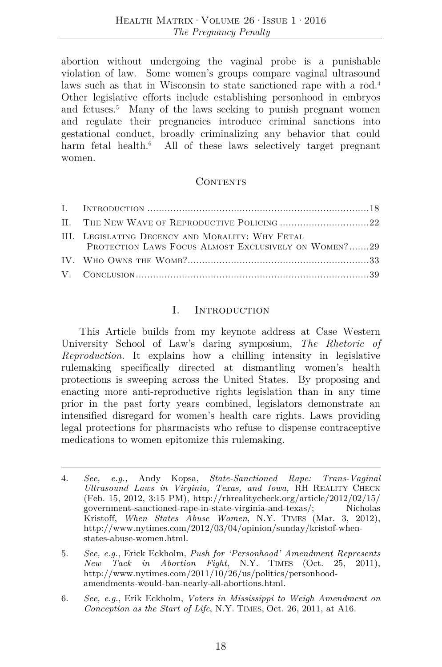abortion without undergoing the vaginal probe is a punishable violation of law. Some women's groups compare vaginal ultrasound laws such as that in Wisconsin to state sanctioned rape with a rod.<sup>4</sup> Other legislative efforts include establishing personhood in embryos and fetuses.<sup>5</sup> Many of the laws seeking to punish pregnant women and regulate their pregnancies introduce criminal sanctions into gestational conduct, broadly criminalizing any behavior that could harm fetal health.<sup>6</sup> All of these laws selectively target pregnant women.

#### **CONTENTS**

| III. LEGISLATING DECENCY AND MORALITY: WHY FETAL<br>PROTECTION LAWS FOCUS ALMOST EXCLUSIVELY ON WOMEN?29 |
|----------------------------------------------------------------------------------------------------------|
|                                                                                                          |
|                                                                                                          |

#### I. Introduction

This Article builds from my keynote address at Case Western University School of Law's daring symposium, *The Rhetoric of Reproduction.* It explains how a chilling intensity in legislative rulemaking specifically directed at dismantling women's health protections is sweeping across the United States. By proposing and enacting more anti-reproductive rights legislation than in any time prior in the past forty years combined, legislators demonstrate an intensified disregard for women's health care rights. Laws providing legal protections for pharmacists who refuse to dispense contraceptive medications to women epitomize this rulemaking.

6. *See, e.g.*, Erik Eckholm, *Voters in Mississippi to Weigh Amendment on Conception as the Start of Life*, N.Y. TIMES, Oct. 26, 2011, at A16.

<sup>4.</sup> *See, e.g.,* Andy Kopsa, *State-Sanctioned Rape: Trans-Vaginal Ultrasound Laws in Virginia, Texas, and Iowa,* RH REALITY CHECK (Feb. 15, 2012, 3:15 PM), http://rhrealitycheck.org/article/2012/02/15/ government-sanctioned-rape-in-state-virginia-and-texas/; Nicholas Kristoff, *When States Abuse Women*, N.Y. TIMES (Mar. 3, 2012), http://www.nytimes.com/2012/03/04/opinion/sunday/kristof-whenstates-abuse-women.html.

<sup>5.</sup> *See, e.g.*, Erick Eckholm, *Push for 'Personhood' Amendment Represents New Tack in Abortion Fight*, N.Y. TIMES (Oct. 25, 2011), http://www.nytimes.com/2011/10/26/us/politics/personhoodamendments-would-ban-nearly-all-abortions.html.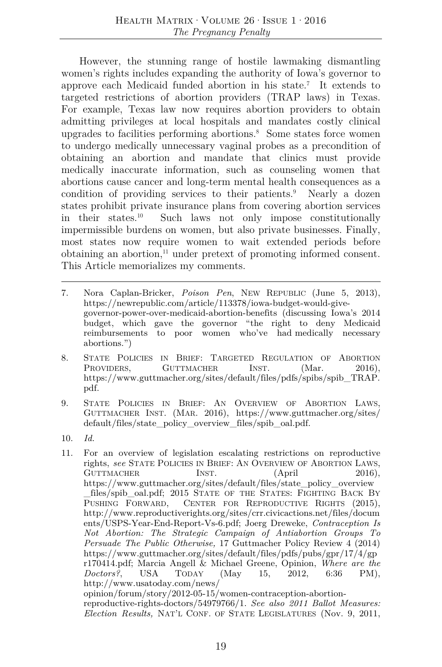However, the stunning range of hostile lawmaking dismantling women's rights includes expanding the authority of Iowa's governor to approve each Medicaid funded abortion in his state.7 It extends to targeted restrictions of abortion providers (TRAP laws) in Texas. For example, Texas law now requires abortion providers to obtain admitting privileges at local hospitals and mandates costly clinical upgrades to facilities performing abortions.<sup>8</sup> Some states force women to undergo medically unnecessary vaginal probes as a precondition of obtaining an abortion and mandate that clinics must provide medically inaccurate information, such as counseling women that abortions cause cancer and long-term mental health consequences as a condition of providing services to their patients.<sup>9</sup> Nearly a dozen states prohibit private insurance plans from covering abortion services in their states.10 Such laws not only impose constitutionally impermissible burdens on women, but also private businesses. Finally, most states now require women to wait extended periods before obtaining an abortion, $11$  under pretext of promoting informed consent. This Article memorializes my comments.

- 7. Nora Caplan-Bricker, *Poison Pen*, NEW REPUBLIC (June 5, 2013), https://newrepublic.com/article/113378/iowa-budget-would-givegovernor-power-over-medicaid-abortion-benefits (discussing Iowa's 2014 budget, which gave the governor "the right to deny Medicaid reimbursements to poor women who've had medically necessary abortions.")
- 8. STATE POLICIES IN BRIEF: TARGETED REGULATION OF ABORTION PROVIDERS, GUTTMACHER INST. (Mar. 2016), https://www.guttmacher.org/sites/default/files/pdfs/spibs/spib\_TRAP. pdf.
- 9. STATE POLICIES IN BRIEF: AN OVERVIEW OF ABORTION LAWS, GUTTMACHER INST. (MAR. 2016), https://www.guttmacher.org/sites/ default/files/state\_policy\_overview\_files/spib\_oal.pdf.
- 10. *Id.*
- 11. For an overview of legislation escalating restrictions on reproductive rights, *see* STATE POLICIES IN BRIEF: AN OVERVIEW OF ABORTION LAWS, GUTTMACHER INST. (April 2016), https://www.guttmacher.org/sites/default/files/state\_policy\_overview \_files/spib\_oal.pdf; 2015 STATE OF THE STATES: FIGHTING BACK BY PUSHING FORWARD, CENTER FOR REPRODUCTIVE RIGHTS (2015), http://www.reproductiverights.org/sites/crr.civicactions.net/files/docum ents/USPS-Year-End-Report-Vs-6.pdf; Joerg Dreweke, *Contraception Is Not Abortion: The Strategic Campaign of Antiabortion Groups To Persuade The Public Otherwise,* 17 Guttmacher Policy Review 4 (2014) https://www.guttmacher.org/sites/default/files/pdfs/pubs/gpr/17/4/gp r170414.pdf; Marcia Angell & Michael Greene, Opinion, *Where are the Doctors?*, USA TODAY (May 15, 2012, 6:36 PM), http://www.usatoday.com/news/ opinion/forum/story/2012-05-15/women-contraception-abortionreproductive-rights-doctors/54979766/1. *See also 2011 Ballot Measures: Election Results,* NAT'L CONF. OF STATE LEGISLATURES (Nov. 9, 2011,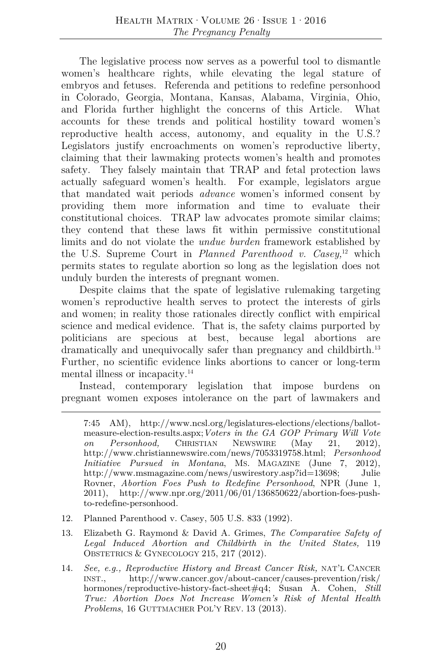The legislative process now serves as a powerful tool to dismantle women's healthcare rights, while elevating the legal stature of embryos and fetuses. Referenda and petitions to redefine personhood in Colorado, Georgia, Montana, Kansas, Alabama, Virginia, Ohio, and Florida further highlight the concerns of this Article. What accounts for these trends and political hostility toward women's reproductive health access, autonomy, and equality in the U.S.? Legislators justify encroachments on women's reproductive liberty, claiming that their lawmaking protects women's health and promotes safety. They falsely maintain that TRAP and fetal protection laws actually safeguard women's health. For example, legislators argue that mandated wait periods *advance* women's informed consent by providing them more information and time to evaluate their constitutional choices. TRAP law advocates promote similar claims; they contend that these laws fit within permissive constitutional limits and do not violate the *undue burden* framework established by the U.S. Supreme Court in *Planned Parenthood v. Casey,*<sup>12</sup> which permits states to regulate abortion so long as the legislation does not unduly burden the interests of pregnant women.

Despite claims that the spate of legislative rulemaking targeting women's reproductive health serves to protect the interests of girls and women; in reality those rationales directly conflict with empirical science and medical evidence. That is, the safety claims purported by politicians are specious at best, because legal abortions are dramatically and unequivocally safer than pregnancy and childbirth.<sup>13</sup> Further, no scientific evidence links abortions to cancer or long-term mental illness or incapacity.<sup>14</sup>

Instead, contemporary legislation that impose burdens on pregnant women exposes intolerance on the part of lawmakers and

- 12. Planned Parenthood v. Casey, 505 U.S. 833 (1992).
- 13. Elizabeth G. Raymond & David A. Grimes, *The Comparative Safety of Legal Induced Abortion and Childbirth in the United States,* 119 OBSTETRICS & GYNECOLOGY 215, 217 (2012).
- 14. *See, e.g., Reproductive History and Breast Cancer Risk,* NAT'L CANCER INST., http://www.cancer.gov/about-cancer/causes-prevention/risk/ hormones/reproductive-history-fact-sheet#q4; Susan A. Cohen, *Still True: Abortion Does Not Increase Women's Risk of Mental Health Problems*, 16 GUTTMACHER POL'Y REV. 13 (2013).

<sup>7:45</sup> AM), http://www.ncsl.org/legislatures-elections/elections/ballotmeasure-election-results.aspx;*Voters in the GA GOP Primary Will Vote on Personhood,* CHRISTIAN NEWSWIRE (May 21, 2012), http://www.christiannewswire.com/news/7053319758.html; *Personhood Initiative Pursued in Montana*, MS. MAGAZINE (June 7, 2012), http://www.msmagazine.com/news/uswirestory.asp?id=13698; Julie Rovner, *Abortion Foes Push to Redefine Personhood*, NPR (June 1, 2011), http://www.npr.org/2011/06/01/136850622/abortion-foes-pushto-redefine-personhood.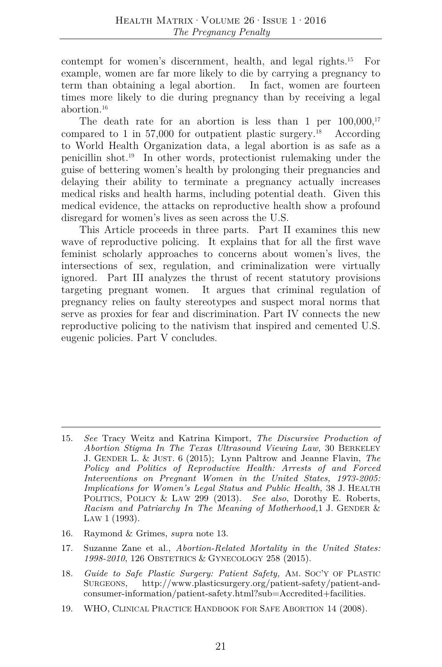contempt for women's discernment, health, and legal rights.<sup>15</sup> For example, women are far more likely to die by carrying a pregnancy to term than obtaining a legal abortion. In fact, women are fourteen times more likely to die during pregnancy than by receiving a legal abortion<sup>16</sup>

The death rate for an abortion is less than 1 per  $100,000$ ,  $17$ compared to 1 in 57,000 for outpatient plastic surgery.<sup>18</sup> According to World Health Organization data, a legal abortion is as safe as a penicillin shot.19 In other words, protectionist rulemaking under the guise of bettering women's health by prolonging their pregnancies and delaying their ability to terminate a pregnancy actually increases medical risks and health harms, including potential death. Given this medical evidence, the attacks on reproductive health show a profound disregard for women's lives as seen across the U.S.

This Article proceeds in three parts. Part II examines this new wave of reproductive policing. It explains that for all the first wave feminist scholarly approaches to concerns about women's lives, the intersections of sex, regulation, and criminalization were virtually ignored. Part III analyzes the thrust of recent statutory provisions targeting pregnant women. It argues that criminal regulation of pregnancy relies on faulty stereotypes and suspect moral norms that serve as proxies for fear and discrimination. Part IV connects the new reproductive policing to the nativism that inspired and cemented U.S. eugenic policies. Part V concludes.

- 16. Raymond & Grimes, *supra* note 13.
- 17. Suzanne Zane et al., *Abortion-Related Mortality in the United States: 1998-2010*, 126 OBSTETRICS & GYNECOLOGY 258 (2015).
- 18. *Guide to Safe Plastic Surgery: Patient Safety,* AM. SOC'Y OF PLASTIC SURGEONS, http://www.plasticsurgery.org/patient-safety/patient-andconsumer-information/patient-safety.html?sub=Accredited+facilities.
- 19. WHO, CLINICAL PRACTICE HANDBOOK FOR SAFE ABORTION 14 (2008).

<sup>15.</sup> *See* Tracy Weitz and Katrina Kimport, *The Discursive Production of Abortion Stigma In The Texas Ultrasound Viewing Law,* 30 BERKELEY J. GENDER L. & JUST. 6 (2015); Lynn Paltrow and Jeanne Flavin, *The Policy and Politics of Reproductive Health: Arrests of and Forced Interventions on Pregnant Women in the United States, 1973-2005: Implications for Women's Legal Status and Public Health,* 38 J. HEALTH POLITICS, POLICY & LAW 299 (2013). *See also*, Dorothy E. Roberts, *Racism and Patriarchy In The Meaning of Motherhood,*1 J. GENDER & LAW 1 (1993).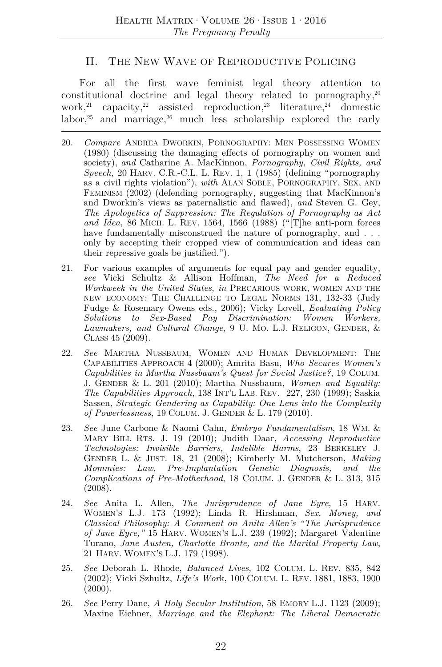#### II. THE NEW WAVE OF REPRODUCTIVE POLICING

For all the first wave feminist legal theory attention to constitutional doctrine and legal theory related to pornography,  $20$ work, <sup>21</sup> capacity, <sup>22</sup> assisted reproduction, <sup>23</sup> literature, <sup>24</sup> domestic labor, $25$  and marriage, $26$  much less scholarship explored the early

- 20. *Compare* ANDREA DWORKIN, PORNOGRAPHY: MEN POSSESSING WOMEN (1980) (discussing the damaging effects of pornography on women and society), *and* Catharine A. MacKinnon, *Pornography, Civil Rights, and Speech*, 20 HARV. C.R.-C.L. L. REV. 1, 1 (1985) (defining "pornography as a civil rights violation"), *with* ALAN SOBLE, PORNOGRAPHY, SEX, AND FEMINISM (2002) (defending pornography, suggesting that MacKinnon's and Dworkin's views as paternalistic and flawed), *and* Steven G. Gey, *The Apologetics of Suppression: The Regulation of Pornography as Act and Idea*, 86 MICH. L. REV. 1564, 1566 (1988) ("[T]he anti-porn forces have fundamentally misconstrued the nature of pornography, and ... only by accepting their cropped view of communication and ideas can their repressive goals be justified.").
- 21. For various examples of arguments for equal pay and gender equality, *see* Vicki Schultz & Allison Hoffman, *The Need for a Reduced Workweek in the United States*, *in* PRECARIOUS WORK, WOMEN AND THE NEW ECONOMY: THE CHALLENGE TO LEGAL NORMS 131, 132-33 (Judy Fudge & Rosemary Owens eds., 2006); Vicky Lovell, *Evaluating Policy Solutions to Sex-Based Pay Discrimination: Women Workers, Lawmakers, and Cultural Change*, 9 U. MO. L.J. RELIGON, GENDER, & CLASS 45 (2009).
- 22. *See* MARTHA NUSSBAUM, WOMEN AND HUMAN DEVELOPMENT: THE CAPABILITIES APPROACH 4 (2000); Amrita Basu, *Who Secures Women's Capabilities in Martha Nussbaum's Quest for Social Justice?*, 19 COLUM. J. GENDER & L. 201 (2010); Martha Nussbaum, *Women and Equality: The Capabilities Approach*, 138 INT'L LAB. REV. 227, 230 (1999); Saskia Sassen, *Strategic Gendering as Capability: One Lens into the Complexity of Powerlessness*, 19 COLUM. J. GENDER & L. 179 (2010).
- 23. *See* June Carbone & Naomi Cahn, *Embryo Fundamentalism*, 18 WM. & MARY BILL RTS. J. 19 (2010); Judith Daar, *Accessing Reproductive Technologies: Invisible Barriers, Indelible Harms*, 23 BERKELEY J. GENDER L. & JUST. 18, 21 (2008); Kimberly M. Mutcherson, *Making Mommies: Law, Pre-Implantation Genetic Diagnosis, and the Complications of Pre-Motherhood*, 18 COLUM. J. GENDER & L. 313, 315 (2008).
- 24. *See* Anita L. Allen, *The Jurisprudence of Jane Eyre*, 15 HARV. WOMEN'S L.J. 173 (1992); Linda R. Hirshman, *Sex, Money, and Classical Philosophy: A Comment on Anita Allen's "The Jurisprudence of Jane Eyre,"* 15 HARV. WOMEN'S L.J. 239 (1992); Margaret Valentine Turano, *Jane Austen, Charlotte Bronte, and the Marital Property Law*, 21 HARV. WOMEN'S L.J. 179 (1998).
- 25. *See* Deborah L. Rhode, *Balanced Lives*, 102 COLUM. L. REV. 835, 842 (2002); Vicki Szhultz, *Life's Wor*k, 100 COLUM. L. REV. 1881, 1883, 1900  $(2000).$
- 26. *See* Perry Dane, *A Holy Secular Institution*, 58 EMORY L.J. 1123 (2009); Maxine Eichner, *Marriage and the Elephant: The Liberal Democratic*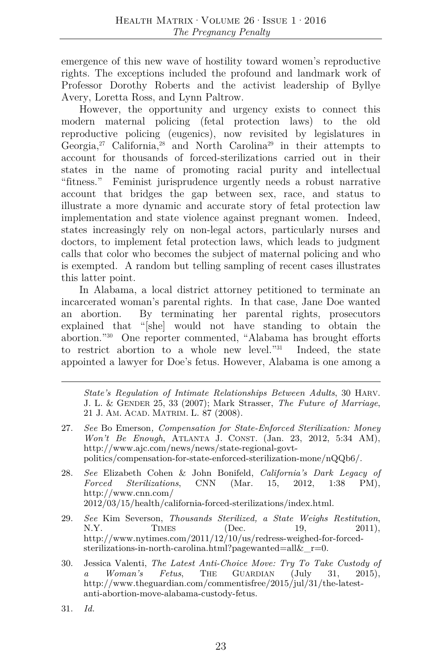emergence of this new wave of hostility toward women's reproductive rights. The exceptions included the profound and landmark work of Professor Dorothy Roberts and the activist leadership of Byllye Avery, Loretta Ross, and Lynn Paltrow.

However, the opportunity and urgency exists to connect this modern maternal policing (fetal protection laws) to the old reproductive policing (eugenics), now revisited by legislatures in Georgia,<sup>27</sup> California,<sup>28</sup> and North Carolina<sup>29</sup> in their attempts to account for thousands of forced-sterilizations carried out in their states in the name of promoting racial purity and intellectual "fitness." Feminist jurisprudence urgently needs a robust narrative account that bridges the gap between sex, race, and status to illustrate a more dynamic and accurate story of fetal protection law implementation and state violence against pregnant women. Indeed, states increasingly rely on non-legal actors, particularly nurses and doctors, to implement fetal protection laws, which leads to judgment calls that color who becomes the subject of maternal policing and who is exempted. A random but telling sampling of recent cases illustrates this latter point.

In Alabama, a local district attorney petitioned to terminate an incarcerated woman's parental rights. In that case, Jane Doe wanted an abortion. By terminating her parental rights, prosecutors explained that "[she] would not have standing to obtain the abortion."30 One reporter commented, "Alabama has brought efforts to restrict abortion to a whole new level."31 Indeed, the state appointed a lawyer for Doe's fetus. However, Alabama is one among a

*State's Regulation of Intimate Relationships Between Adults*, 30 HARV. J. L. & GENDER 25, 33 (2007); Mark Strasser, *The Future of Marriage*, 21 J. AM. ACAD. MATRIM. L. 87 (2008).

- 27. *See* Bo Emerson*, Compensation for State-Enforced Sterilization: Money Won't Be Enough*, ATLANTA J. CONST. (Jan. 23, 2012, 5:34 AM), http://www.ajc.com/news/news/state-regional-govtpolitics/compensation-for-state-enforced-sterilization-mone/nQQb6/.
- 28. *See* Elizabeth Cohen & John Bonifeld, *California's Dark Legacy of Forced Sterilizations*, CNN (Mar. 15, 2012, 1:38 PM), http://www.cnn.com/ 2012/03/15/health/california-forced-sterilizations/index.html.
- 29. *See* Kim Severson, *Thousands Sterilized, a State Weighs Restitution*, N.Y. TIMES (Dec. 19, 2011), http://www.nytimes.com/2011/12/10/us/redress-weighed-for-forcedsterilizations-in-north-carolina.html?pagewanted=all&\_r=0.
- 30. Jessica Valenti, *The Latest Anti-Choice Move: Try To Take Custody of a Woman's Fetus*, THE GUARDIAN (July 31, 2015), http://www.theguardian.com/commentisfree/2015/jul/31/the-latestanti-abortion-move-alabama-custody-fetus.
- 31. *Id.*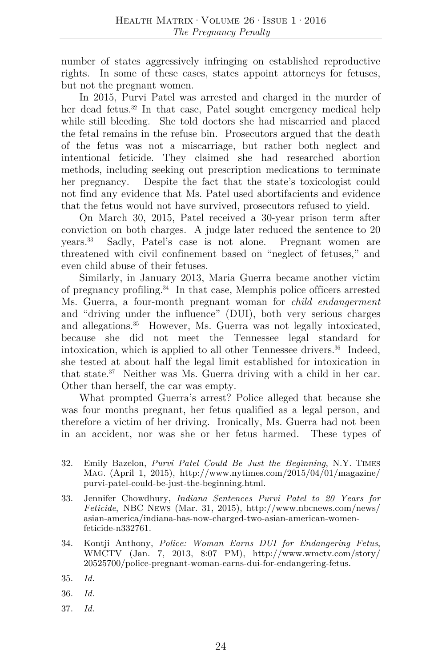number of states aggressively infringing on established reproductive rights. In some of these cases, states appoint attorneys for fetuses, but not the pregnant women.

In 2015, Purvi Patel was arrested and charged in the murder of her dead fetus.<sup>32</sup> In that case, Patel sought emergency medical help while still bleeding. She told doctors she had miscarried and placed the fetal remains in the refuse bin. Prosecutors argued that the death of the fetus was not a miscarriage, but rather both neglect and intentional feticide. They claimed she had researched abortion methods, including seeking out prescription medications to terminate her pregnancy. Despite the fact that the state's toxicologist could not find any evidence that Ms. Patel used abortifacients and evidence that the fetus would not have survived, prosecutors refused to yield.

On March 30, 2015, Patel received a 30-year prison term after conviction on both charges. A judge later reduced the sentence to 20 years.33 Sadly, Patel's case is not alone. Pregnant women are threatened with civil confinement based on "neglect of fetuses," and even child abuse of their fetuses.

Similarly, in January 2013, Maria Guerra became another victim of pregnancy profiling.34 In that case, Memphis police officers arrested Ms. Guerra, a four-month pregnant woman for *child endangerment* and "driving under the influence" (DUI), both very serious charges and allegations.<sup>35</sup> However, Ms. Guerra was not legally intoxicated, because she did not meet the Tennessee legal standard for intoxication, which is applied to all other Tennessee drivers.<sup>36</sup> Indeed, she tested at about half the legal limit established for intoxication in that state.37 Neither was Ms. Guerra driving with a child in her car. Other than herself, the car was empty.

What prompted Guerra's arrest? Police alleged that because she was four months pregnant, her fetus qualified as a legal person, and therefore a victim of her driving. Ironically, Ms. Guerra had not been in an accident, nor was she or her fetus harmed. These types of

- 34. Kontji Anthony, *Police: Woman Earns DUI for Endangering Fetus*, WMCTV (Jan. 7, 2013, 8:07 PM), http://www.wmctv.com/story/ 20525700/police-pregnant-woman-earns-dui-for-endangering-fetus.
- 35. *Id.*
- 36. *Id.*
- 37. *Id.*

<sup>32.</sup> Emily Bazelon, *Purvi Patel Could Be Just the Beginning*, N.Y. TIMES MAG. (April 1, 2015), http://www.nytimes.com/2015/04/01/magazine/ purvi-patel-could-be-just-the-beginning.html.

<sup>33.</sup> Jennifer Chowdhury, *Indiana Sentences Purvi Patel to 20 Years for Feticide*, NBC NEWS (Mar. 31, 2015), http://www.nbcnews.com/news/ asian-america/indiana-has-now-charged-two-asian-american-womenfeticide-n332761.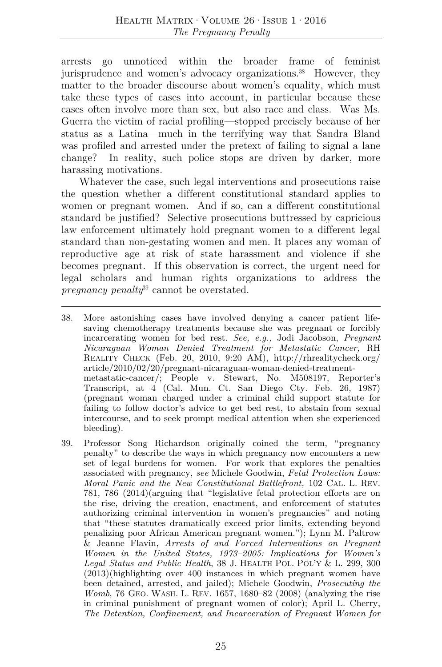arrests go unnoticed within the broader frame of feminist jurisprudence and women's advocacy organizations.<sup>38</sup> However, they matter to the broader discourse about women's equality, which must take these types of cases into account, in particular because these cases often involve more than sex, but also race and class. Was Ms. Guerra the victim of racial profiling—stopped precisely because of her status as a Latina—much in the terrifying way that Sandra Bland was profiled and arrested under the pretext of failing to signal a lane change? In reality, such police stops are driven by darker, more harassing motivations.

Whatever the case, such legal interventions and prosecutions raise the question whether a different constitutional standard applies to women or pregnant women. And if so, can a different constitutional standard be justified? Selective prosecutions buttressed by capricious law enforcement ultimately hold pregnant women to a different legal standard than non-gestating women and men. It places any woman of reproductive age at risk of state harassment and violence if she becomes pregnant. If this observation is correct, the urgent need for legal scholars and human rights organizations to address the *pregnancy penalty*<sup>39</sup> cannot be overstated.

<sup>38.</sup> More astonishing cases have involved denying a cancer patient lifesaving chemotherapy treatments because she was pregnant or forcibly incarcerating women for bed rest. *See, e.g.,* Jodi Jacobson, *Pregnant Nicaraguan Woman Denied Treatment for Metastatic Cancer,* RH REALITY CHECK (Feb. 20, 2010, 9:20 AM), http://rhrealitycheck.org/ article/2010/02/20/pregnant-nicaraguan-woman-denied-treatmentmetastatic-cancer/; People v. Stewart, No. M508197, Reporter's Transcript, at 4 (Cal. Mun. Ct. San Diego Cty. Feb. 26, 1987) (pregnant woman charged under a criminal child support statute for failing to follow doctor's advice to get bed rest, to abstain from sexual intercourse, and to seek prompt medical attention when she experienced bleeding).

<sup>39.</sup> Professor Song Richardson originally coined the term, "pregnancy penalty" to describe the ways in which pregnancy now encounters a new set of legal burdens for women. For work that explores the penalties associated with pregnancy, *see* Michele Goodwin, *Fetal Protection Laws: Moral Panic and the New Constitutional Battlefront,* 102 CAL. L. REV. 781, 786 (2014)(arguing that "legislative fetal protection efforts are on the rise, driving the creation, enactment, and enforcement of statutes authorizing criminal intervention in women's pregnancies" and noting that "these statutes dramatically exceed prior limits, extending beyond penalizing poor African American pregnant women."); Lynn M. Paltrow & Jeanne Flavin, *Arrests of and Forced Interventions on Pregnant Women in the United States, 1973–2005: Implications for Women's Legal Status and Public Health*, 38 J. HEALTH POL. POL'Y & L. 299, 300 (2013)(highlighting over 400 instances in which pregnant women have been detained, arrested, and jailed); Michele Goodwin, *Prosecuting the Womb*, 76 GEO. WASH. L. REV. 1657, 1680–82 (2008) (analyzing the rise in criminal punishment of pregnant women of color); April L. Cherry, *The Detention, Confinement, and Incarceration of Pregnant Women for*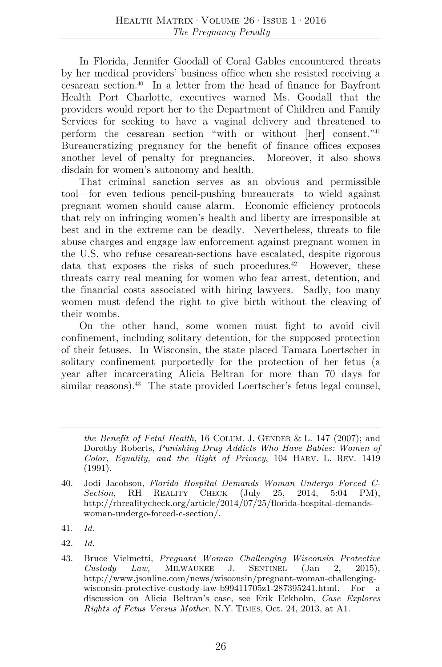In Florida, Jennifer Goodall of Coral Gables encountered threats by her medical providers' business office when she resisted receiving a cesarean section.40 In a letter from the head of finance for Bayfront Health Port Charlotte, executives warned Ms. Goodall that the providers would report her to the Department of Children and Family Services for seeking to have a vaginal delivery and threatened to perform the cesarean section "with or without [her] consent."41 Bureaucratizing pregnancy for the benefit of finance offices exposes another level of penalty for pregnancies. Moreover, it also shows disdain for women's autonomy and health.

That criminal sanction serves as an obvious and permissible tool—for even tedious pencil-pushing bureaucrats—to wield against pregnant women should cause alarm. Economic efficiency protocols that rely on infringing women's health and liberty are irresponsible at best and in the extreme can be deadly. Nevertheless, threats to file abuse charges and engage law enforcement against pregnant women in the U.S. who refuse cesarean-sections have escalated, despite rigorous data that exposes the risks of such procedures.<sup>42</sup> However, these threats carry real meaning for women who fear arrest, detention, and the financial costs associated with hiring lawyers. Sadly, too many women must defend the right to give birth without the cleaving of their wombs.

On the other hand, some women must fight to avoid civil confinement, including solitary detention, for the supposed protection of their fetuses. In Wisconsin, the state placed Tamara Loertscher in solitary confinement purportedly for the protection of her fetus (a year after incarcerating Alicia Beltran for more than 70 days for similar reasons). $43$  The state provided Loertscher's fetus legal counsel,

*the Benefit of Fetal Health*, 16 COLUM. J. GENDER & L. 147 (2007); and Dorothy Roberts, *Punishing Drug Addicts Who Have Babies: Women of Color, Equality, and the Right of Privacy*, 104 HARV. L. REV. 1419 (1991).

<sup>40.</sup> Jodi Jacobson, *Florida Hospital Demands Woman Undergo Forced C-Section*, RH REALITY CHECK (July 25, 2014, 5:04 PM), http://rhrealitycheck.org/article/2014/07/25/florida-hospital-demandswoman-undergo-forced-c-section/.

<sup>41.</sup> *Id.* 

<sup>42.</sup> *Id.* 

<sup>43.</sup> Bruce Vielmetti, *Pregnant Woman Challenging Wisconsin Protective Custody Law,* MILWAUKEE J. SENTINEL (Jan 2, 2015), http://www.jsonline.com/news/wisconsin/pregnant-woman-challengingwisconsin-protective-custody-law-b99411705z1-287395241.html. For a discussion on Alicia Beltran's case, see Erik Eckholm, *Case Explores Rights of Fetus Versus Mother*, N.Y. TIMES, Oct. 24, 2013, at A1.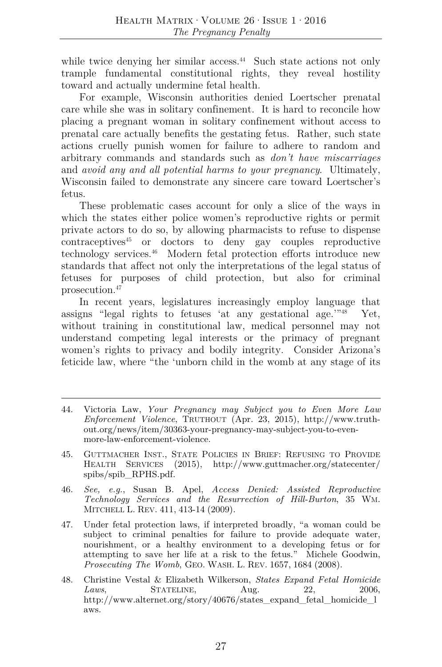while twice denying her similar access.<sup>44</sup> Such state actions not only trample fundamental constitutional rights, they reveal hostility toward and actually undermine fetal health.

For example, Wisconsin authorities denied Loertscher prenatal care while she was in solitary confinement. It is hard to reconcile how placing a pregnant woman in solitary confinement without access to prenatal care actually benefits the gestating fetus. Rather, such state actions cruelly punish women for failure to adhere to random and arbitrary commands and standards such as *don't have miscarriages*  and *avoid any and all potential harms to your pregnancy*. Ultimately, Wisconsin failed to demonstrate any sincere care toward Loertscher's fetus.

These problematic cases account for only a slice of the ways in which the states either police women's reproductive rights or permit private actors to do so, by allowing pharmacists to refuse to dispense  $\text{contraceptives}^{45}$  or doctors to deny gay couples reproductive technology services.46 Modern fetal protection efforts introduce new standards that affect not only the interpretations of the legal status of fetuses for purposes of child protection, but also for criminal prosecution.47

In recent years, legislatures increasingly employ language that assigns "legal rights to fetuses 'at any gestational age.'"48 Yet, without training in constitutional law, medical personnel may not understand competing legal interests or the primacy of pregnant women's rights to privacy and bodily integrity. Consider Arizona's feticide law, where "the 'unborn child in the womb at any stage of its

- 44. Victoria Law, *Your Pregnancy may Subject you to Even More Law Enforcement Violence*, TRUTHOUT (Apr. 23, 2015), http://www.truthout.org/news/item/30363-your-pregnancy-may-subject-you-to-evenmore-law-enforcement-violence.
- 45. GUTTMACHER INST., STATE POLICIES IN BRIEF: REFUSING TO PROVIDE HEALTH SERVICES (2015), http://www.guttmacher.org/statecenter/ spibs/spib\_RPHS.pdf.
- 46. *See, e.g.*, Susan B. Apel, *Access Denied: Assisted Reproductive Technology Services and the Resurrection of Hill-Burton*, 35 WM. MITCHELL L. REV. 411, 413-14 (2009).
- 47. Under fetal protection laws, if interpreted broadly, "a woman could be subject to criminal penalties for failure to provide adequate water, nourishment, or a healthy environment to a developing fetus or for attempting to save her life at a risk to the fetus." Michele Goodwin, *Prosecuting The Womb*, GEO. WASH. L. REV. 1657, 1684 (2008).
- 48. Christine Vestal & Elizabeth Wilkerson, *States Expand Fetal Homicide Laws*, **STATELINE**, **Aug.** 22, 2006, http://www.alternet.org/story/40676/states\_expand\_fetal\_homicide\_l\_ aws.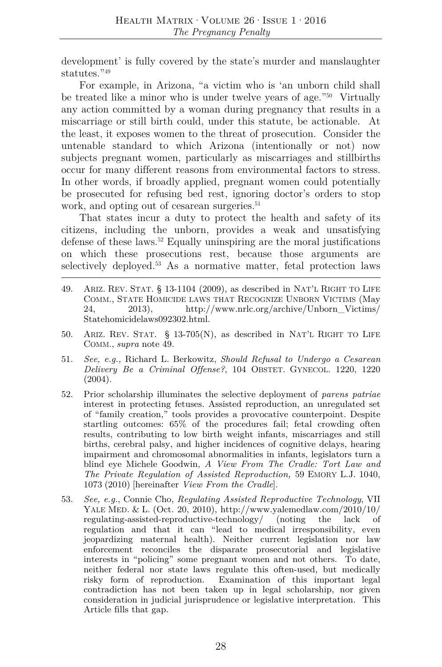development' is fully covered by the state's murder and manslaughter statutes."<sup>49</sup>

For example, in Arizona, "a victim who is 'an unborn child shall be treated like a minor who is under twelve years of age."50 Virtually any action committed by a woman during pregnancy that results in a miscarriage or still birth could, under this statute, be actionable. At the least, it exposes women to the threat of prosecution. Consider the untenable standard to which Arizona (intentionally or not) now subjects pregnant women, particularly as miscarriages and stillbirths occur for many different reasons from environmental factors to stress. In other words, if broadly applied, pregnant women could potentially be prosecuted for refusing bed rest, ignoring doctor's orders to stop work, and opting out of cesarean surgeries.<sup>51</sup>

That states incur a duty to protect the health and safety of its citizens, including the unborn, provides a weak and unsatisfying defense of these laws.52 Equally uninspiring are the moral justifications on which these prosecutions rest, because those arguments are selectively deployed.53 As a normative matter, fetal protection laws

- 49. ARIZ. REV. STAT. § 13-1104 (2009), as described in NAT'L RIGHT TO LIFE COMM., STATE HOMICIDE LAWS THAT RECOGNIZE UNBORN VICTIMS (May 24, 2013), http://www.nrlc.org/archive/Unborn\_Victims/ Statehomicidelaws092302.html.
- 50. ARIZ. REV. STAT. § 13-705(N), as described in NAT'L RIGHT TO LIFE COMM., *supra* note 49.
- 51. *See, e.g.,* Richard L. Berkowitz, *Should Refusal to Undergo a Cesarean Delivery Be a Criminal Offense?*, 104 OBSTET. GYNECOL. 1220, 1220 (2004).
- 52. Prior scholarship illuminates the selective deployment of *parens patriae* interest in protecting fetuses. Assisted reproduction, an unregulated set of "family creation," tools provides a provocative counterpoint. Despite startling outcomes: 65% of the procedures fail; fetal crowding often results, contributing to low birth weight infants, miscarriages and still births, cerebral palsy, and higher incidences of cognitive delays, hearing impairment and chromosomal abnormalities in infants, legislators turn a blind eye Michele Goodwin, *A View From The Cradle: Tort Law and The Private Regulation of Assisted Reproduction,* 59 EMORY L.J. 1040, 1073 (2010) [hereinafter *View From the Cradle*].
- 53. *See, e.g.*, Connie Cho, *Regulating Assisted Reproductive Technology*, VII YALE MED. & L. (Oct. 20, 2010), http://www.yalemedlaw.com/2010/10/ regulating-assisted-reproductive-technology/ (noting the lack of regulation and that it can "lead to medical irresponsibility, even jeopardizing maternal health). Neither current legislation nor law enforcement reconciles the disparate prosecutorial and legislative interests in "policing" some pregnant women and not others. To date, neither federal nor state laws regulate this often-used, but medically risky form of reproduction. Examination of this important legal contradiction has not been taken up in legal scholarship, nor given consideration in judicial jurisprudence or legislative interpretation. This Article fills that gap.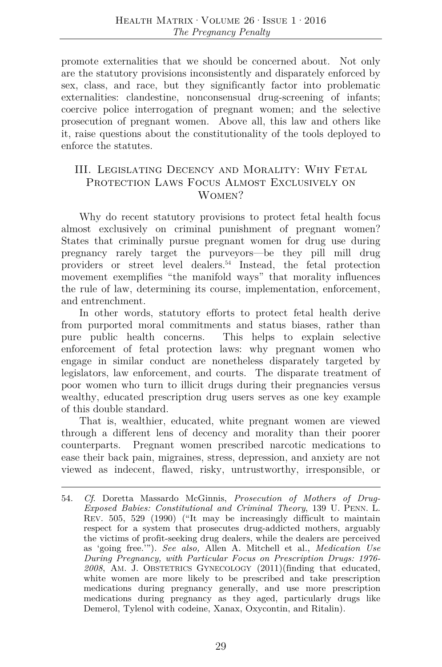promote externalities that we should be concerned about. Not only are the statutory provisions inconsistently and disparately enforced by sex, class, and race, but they significantly factor into problematic externalities: clandestine, nonconsensual drug-screening of infants; coercive police interrogation of pregnant women; and the selective prosecution of pregnant women. Above all, this law and others like it, raise questions about the constitutionality of the tools deployed to enforce the statutes.

### III. Legislating Decency and Morality: Why Fetal PROTECTION LAWS FOCUS ALMOST EXCLUSIVELY ON WOMEN?

Why do recent statutory provisions to protect fetal health focus almost exclusively on criminal punishment of pregnant women? States that criminally pursue pregnant women for drug use during pregnancy rarely target the purveyors—be they pill mill drug providers or street level dealers.54 Instead, the fetal protection movement exemplifies "the manifold ways" that morality influences the rule of law, determining its course, implementation, enforcement, and entrenchment.

In other words, statutory efforts to protect fetal health derive from purported moral commitments and status biases, rather than pure public health concerns. This helps to explain selective enforcement of fetal protection laws: why pregnant women who engage in similar conduct are nonetheless disparately targeted by legislators, law enforcement, and courts. The disparate treatment of poor women who turn to illicit drugs during their pregnancies versus wealthy, educated prescription drug users serves as one key example of this double standard.

That is, wealthier, educated, white pregnant women are viewed through a different lens of decency and morality than their poorer counterparts. Pregnant women prescribed narcotic medications to ease their back pain, migraines, stress, depression, and anxiety are not viewed as indecent, flawed, risky, untrustworthy, irresponsible, or

<sup>54.</sup> *Cf*. Doretta Massardo McGinnis, *Prosecution of Mothers of Drug-Exposed Babies: Constitutional and Criminal Theory*, 139 U. PENN. L. REV. 505, 529 (1990) ("It may be increasingly difficult to maintain respect for a system that prosecutes drug-addicted mothers, arguably the victims of profit-seeking drug dealers, while the dealers are perceived as 'going free.'"). *See also,* Allen A. Mitchell et al., *Medication Use During Pregnancy, with Particular Focus on Prescription Drugs: 1976- 2008*, AM. J. OBSTETRICS GYNECOLOGY (2011)(finding that educated, white women are more likely to be prescribed and take prescription medications during pregnancy generally, and use more prescription medications during pregnancy as they aged, particularly drugs like Demerol, Tylenol with codeine, Xanax, Oxycontin, and Ritalin).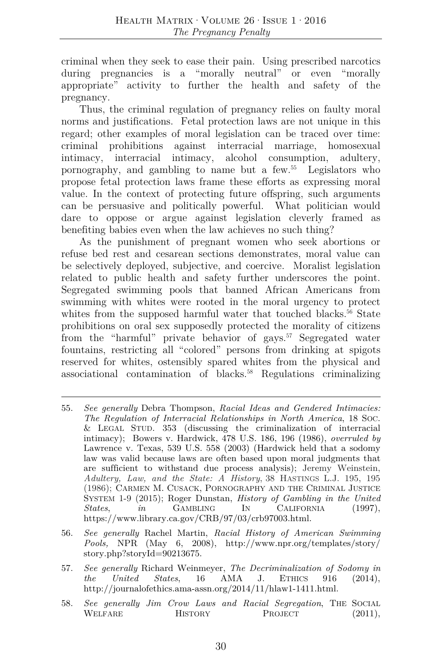criminal when they seek to ease their pain. Using prescribed narcotics during pregnancies is a "morally neutral" or even "morally appropriate" activity to further the health and safety of the pregnancy.

Thus, the criminal regulation of pregnancy relies on faulty moral norms and justifications. Fetal protection laws are not unique in this regard; other examples of moral legislation can be traced over time: criminal prohibitions against interracial marriage, homosexual intimacy, interracial intimacy, alcohol consumption, adultery, pornography, and gambling to name but a few.55 Legislators who propose fetal protection laws frame these efforts as expressing moral value. In the context of protecting future offspring, such arguments can be persuasive and politically powerful. What politician would dare to oppose or argue against legislation cleverly framed as benefiting babies even when the law achieves no such thing?

As the punishment of pregnant women who seek abortions or refuse bed rest and cesarean sections demonstrates, moral value can be selectively deployed, subjective, and coercive. Moralist legislation related to public health and safety further underscores the point. Segregated swimming pools that banned African Americans from swimming with whites were rooted in the moral urgency to protect whites from the supposed harmful water that touched blacks.<sup>56</sup> State prohibitions on oral sex supposedly protected the morality of citizens from the "harmful" private behavior of gays.<sup>57</sup> Segregated water fountains, restricting all "colored" persons from drinking at spigots reserved for whites, ostensibly spared whites from the physical and associational contamination of blacks.<sup>58</sup> Regulations criminalizing

- 56. *See generally* Rachel Martin, *Racial History of American Swimming Pools,* NPR (May 6, 2008), http://www.npr.org/templates/story/ story.php?storyId=90213675.
- 57. *See generally* Richard Weinmeyer, *The Decriminalization of Sodomy in the United States*, 16 AMA J. ETHICS 916 (2014), http://journalofethics.ama-assn.org/2014/11/hlaw1-1411.html.
- 58. *See generally Jim Crow Laws and Racial Segregation*, THE SOCIAL WELFARE HISTORY PROJECT (2011),

<sup>55.</sup> *See generally* Debra Thompson, *Racial Ideas and Gendered Intimacies: The Regulation of Interracial Relationships in North America*, 18 SOC. & LEGAL STUD. 353 (discussing the criminalization of interracial intimacy); Bowers v. Hardwick, 478 U.S. 186, 196 (1986), *overruled by* Lawrence v. Texas, 539 U.S. 558 (2003) (Hardwick held that a sodomy law was valid because laws are often based upon moral judgments that are sufficient to withstand due process analysis); Jeremy Weinstein, *Adultery, Law, and the State: A History*, 38 HASTINGS L.J. 195, 195 (1986); CARMEN M. CUSACK, PORNOGRAPHY AND THE CRIMINAL JUSTICE SYSTEM 1-9 (2015); Roger Dunstan, *History of Gambling in the United States*, *in* GAMBLING IN CALIFORNIA (1997), https://www.library.ca.gov/CRB/97/03/crb97003.html.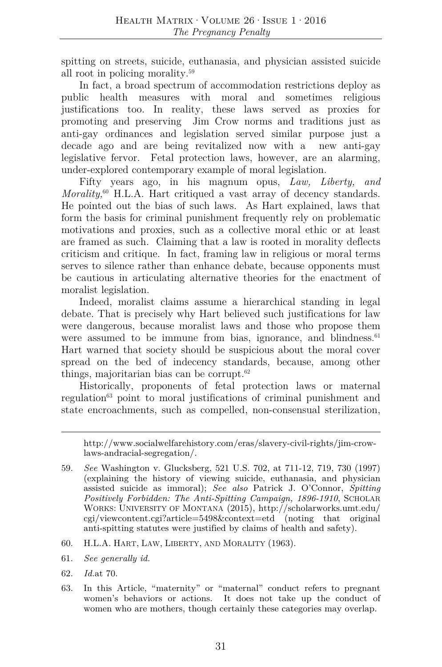spitting on streets, suicide, euthanasia, and physician assisted suicide all root in policing morality.59

In fact, a broad spectrum of accommodation restrictions deploy as public health measures with moral and sometimes religious justifications too. In reality, these laws served as proxies for promoting and preserving Jim Crow norms and traditions just as anti-gay ordinances and legislation served similar purpose just a decade ago and are being revitalized now with a new anti-gay legislative fervor. Fetal protection laws, however, are an alarming, under-explored contemporary example of moral legislation.

Fifty years ago, in his magnum opus, *Law, Liberty, and Morality*<sup>60</sup> H.L.A. Hart critiqued a vast array of decency standards. He pointed out the bias of such laws. As Hart explained, laws that form the basis for criminal punishment frequently rely on problematic motivations and proxies, such as a collective moral ethic or at least are framed as such. Claiming that a law is rooted in morality deflects criticism and critique. In fact, framing law in religious or moral terms serves to silence rather than enhance debate, because opponents must be cautious in articulating alternative theories for the enactment of moralist legislation.

Indeed, moralist claims assume a hierarchical standing in legal debate. That is precisely why Hart believed such justifications for law were dangerous, because moralist laws and those who propose them were assumed to be immune from bias, ignorance, and blindness. $61$ Hart warned that society should be suspicious about the moral cover spread on the bed of indecency standards, because, among other things, majoritarian bias can be corrupt. $62$ 

Historically, proponents of fetal protection laws or maternal regulation63 point to moral justifications of criminal punishment and state encroachments, such as compelled, non-consensual sterilization,

- 60. H.L.A. HART, LAW, LIBERTY, AND MORALITY (1963).
- 61. *See generally id.*
- 62. *Id.*at 70.
- 63. In this Article, "maternity" or "maternal" conduct refers to pregnant women's behaviors or actions. It does not take up the conduct of women who are mothers, though certainly these categories may overlap.

http://www.socialwelfarehistory.com/eras/slavery-civil-rights/jim-crowlaws-andracial-segregation/.

<sup>59.</sup> *See* Washington v. Glucksberg, 521 U.S. 702, at 711-12, 719, 730 (1997) (explaining the history of viewing suicide, euthanasia, and physician assisted suicide as immoral); *See also* Patrick J. O'Connor, *Spitting Positively Forbidden: The Anti-Spitting Campaign, 1896-1910*, SCHOLAR WORKS: UNIVERSITY OF MONTANA (2015), http://scholarworks.umt.edu/ cgi/viewcontent.cgi?article=5498&context=etd (noting that original anti-spitting statutes were justified by claims of health and safety).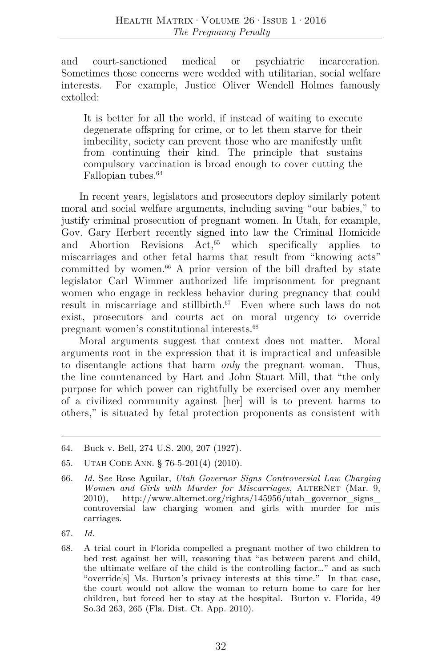and court-sanctioned medical or psychiatric incarceration. Sometimes those concerns were wedded with utilitarian, social welfare interests. For example, Justice Oliver Wendell Holmes famously extolled:

It is better for all the world, if instead of waiting to execute degenerate offspring for crime, or to let them starve for their imbecility, society can prevent those who are manifestly unfit from continuing their kind. The principle that sustains compulsory vaccination is broad enough to cover cutting the Fallopian tubes.<sup>64</sup>

In recent years, legislators and prosecutors deploy similarly potent moral and social welfare arguments, including saving "our babies," to justify criminal prosecution of pregnant women. In Utah, for example, Gov. Gary Herbert recently signed into law the Criminal Homicide and Abortion Revisions  $Act^{65}$  which specifically applies to miscarriages and other fetal harms that result from "knowing acts" committed by women. $66$  A prior version of the bill drafted by state legislator Carl Wimmer authorized life imprisonment for pregnant women who engage in reckless behavior during pregnancy that could result in miscarriage and still<br>birth.<sup>67</sup> Even where such laws do not exist, prosecutors and courts act on moral urgency to override pregnant women's constitutional interests.68

Moral arguments suggest that context does not matter. Moral arguments root in the expression that it is impractical and unfeasible to disentangle actions that harm *only* the pregnant woman. Thus, the line countenanced by Hart and John Stuart Mill, that "the only purpose for which power can rightfully be exercised over any member of a civilized community against [her] will is to prevent harms to others," is situated by fetal protection proponents as consistent with

<sup>64.</sup> Buck v. Bell, 274 U.S. 200, 207 (1927).

<sup>65.</sup> UTAH CODE ANN. § 76-5-201(4) (2010).

<sup>66.</sup> *Id.* S*ee* Rose Aguilar, *Utah Governor Signs Controversial Law Charging Women and Girls with Murder for Miscarriages*, ALTERNET (Mar. 9, 2010), http://www.alternet.org/rights/145956/utah\_governor\_signs\_ controversial\_law\_charging\_women\_and\_girls\_with\_murder\_for\_mis carriages.

<sup>67.</sup> *Id.*

<sup>68.</sup> A trial court in Florida compelled a pregnant mother of two children to bed rest against her will, reasoning that "as between parent and child, the ultimate welfare of the child is the controlling factor…" and as such "override[s] Ms. Burton's privacy interests at this time." In that case, the court would not allow the woman to return home to care for her children, but forced her to stay at the hospital. Burton v. Florida, 49 So.3d 263, 265 (Fla. Dist. Ct. App. 2010).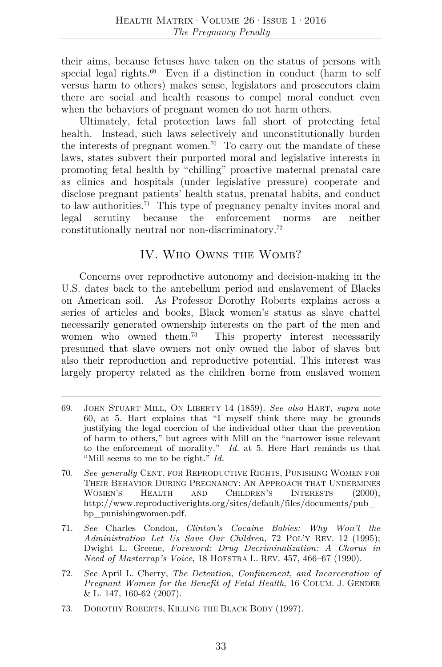their aims, because fetuses have taken on the status of persons with special legal rights. $69$  Even if a distinction in conduct (harm to self versus harm to others) makes sense, legislators and prosecutors claim there are social and health reasons to compel moral conduct even when the behaviors of pregnant women do not harm others.

Ultimately, fetal protection laws fall short of protecting fetal health. Instead, such laws selectively and unconstitutionally burden the interests of pregnant women.<sup>70</sup> To carry out the mandate of these laws, states subvert their purported moral and legislative interests in promoting fetal health by "chilling" proactive maternal prenatal care as clinics and hospitals (under legislative pressure) cooperate and disclose pregnant patients' health status, prenatal habits, and conduct to law authorities.<sup>71</sup> This type of pregnancy penalty invites moral and legal scrutiny because the enforcement norms are neither constitutionally neutral nor non-discriminatory.72

# IV. Who Owns the Womb?

Concerns over reproductive autonomy and decision-making in the U.S. dates back to the antebellum period and enslavement of Blacks on American soil. As Professor Dorothy Roberts explains across a series of articles and books, Black women's status as slave chattel necessarily generated ownership interests on the part of the men and women who owned them.<sup>73</sup> This property interest necessarily presumed that slave owners not only owned the labor of slaves but also their reproduction and reproductive potential. This interest was largely property related as the children borne from enslaved women

<sup>69.</sup> JOHN STUART MILL, ON LIBERTY 14 (1859). *See also* HART, *supra* note 60, at 5. Hart explains that "I myself think there may be grounds justifying the legal coercion of the individual other than the prevention of harm to others," but agrees with Mill on the "narrower issue relevant to the enforcement of morality." *Id.* at 5. Here Hart reminds us that "Mill seems to me to be right." *Id.*

<sup>70.</sup> *See generally* CENT. FOR REPRODUCTIVE RIGHTS, PUNISHING WOMEN FOR THEIR BEHAVIOR DURING PREGNANCY: AN APPROACH THAT UNDERMINES WOMEN'S HEALTH AND CHILDREN'S INTERESTS (2000), http://www.reproductiverights.org/sites/default/files/documents/pub\_ bp\_punishingwomen.pdf.

<sup>71.</sup> *See* Charles Condon, *Clinton's Cocaine Babies: Why Won't the Administration Let Us Save Our Children,* 72 POL'Y REV. 12 (1995); Dwight L. Greene, *Foreword: Drug Decriminalization: A Chorus in Need of Masterrap's Voice*, 18 HOFSTRA L. REV. 457, 466–67 (1990).

<sup>72.</sup> *See* April L. Cherry, *The Detention, Confinement, and Incarceration of Pregnant Women for the Benefit of Fetal Health*, 16 COLUM. J. GENDER & L. 147, 160-62 (2007).

<sup>73.</sup> DOROTHY ROBERTS, KILLING THE BLACK BODY (1997).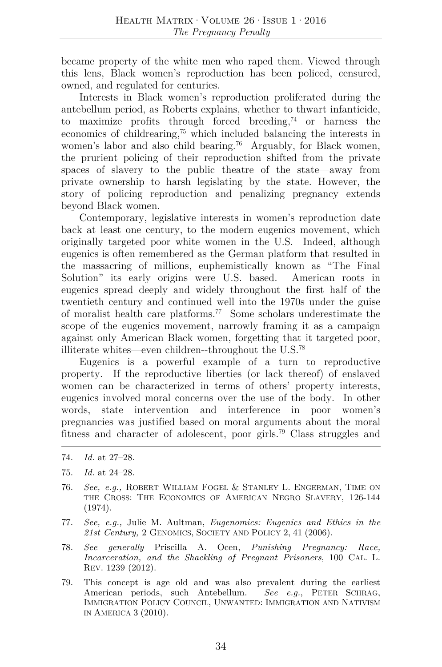became property of the white men who raped them. Viewed through this lens, Black women's reproduction has been policed, censured, owned, and regulated for centuries.

Interests in Black women's reproduction proliferated during the antebellum period, as Roberts explains, whether to thwart infanticide, to maximize profits through forced breeding, $74$  or harness the economics of childrearing,75 which included balancing the interests in women's labor and also child bearing.<sup>76</sup> Arguably, for Black women, the prurient policing of their reproduction shifted from the private spaces of slavery to the public theatre of the state—away from private ownership to harsh legislating by the state. However, the story of policing reproduction and penalizing pregnancy extends beyond Black women.

Contemporary, legislative interests in women's reproduction date back at least one century, to the modern eugenics movement, which originally targeted poor white women in the U.S. Indeed, although eugenics is often remembered as the German platform that resulted in the massacring of millions, euphemistically known as "The Final Solution" its early origins were U.S. based. American roots in eugenics spread deeply and widely throughout the first half of the twentieth century and continued well into the 1970s under the guise of moralist health care platforms.77 Some scholars underestimate the scope of the eugenics movement, narrowly framing it as a campaign against only American Black women, forgetting that it targeted poor, illiterate whites—even children--throughout the U.S.78

Eugenics is a powerful example of a turn to reproductive property. If the reproductive liberties (or lack thereof) of enslaved women can be characterized in terms of others' property interests, eugenics involved moral concerns over the use of the body. In other words, state intervention and interference in poor women's pregnancies was justified based on moral arguments about the moral fitness and character of adolescent, poor girls.79 Class struggles and

- 76. *See, e.g.,* ROBERT WILLIAM FOGEL & STANLEY L. ENGERMAN, TIME ON THE CROSS: THE ECONOMICS OF AMERICAN NEGRO SLAVERY, 126-144 (1974).
- 77. *See, e.g.,* Julie M. Aultman, *Eugenomics: Eugenics and Ethics in the 21st Century,* 2 GENOMICS, SOCIETY AND POLICY 2, 41 (2006).
- 78. *See generally* Priscilla A. Ocen, *Punishing Pregnancy: Race, Incarceration, and the Shackling of Pregnant Prisoners*, 100 CAL. L. REV. 1239 (2012).
- 79. This concept is age old and was also prevalent during the earliest American periods, such Antebellum. *See e.g.*, PETER SCHRAG, IMMIGRATION POLICY COUNCIL, UNWANTED: IMMIGRATION AND NATIVISM IN AMERICA 3 (2010).

<sup>74.</sup> *Id.* at 27–28.

<sup>75.</sup> *Id.* at 24–28.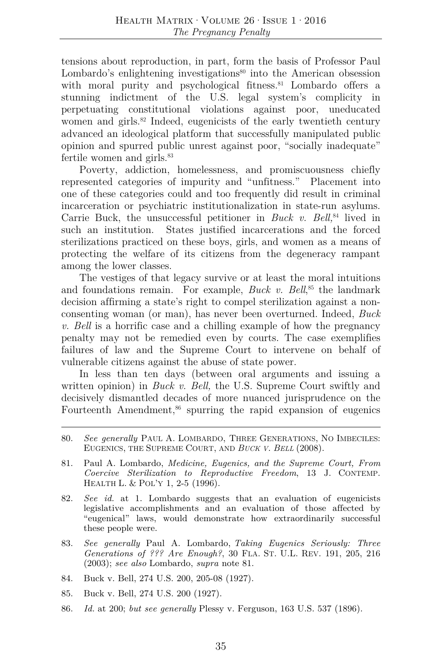tensions about reproduction, in part, form the basis of Professor Paul Lombardo's enlightening investigations<sup>80</sup> into the American obsession with moral purity and psychological fitness.<sup>81</sup> Lombardo offers a stunning indictment of the U.S. legal system's complicity in perpetuating constitutional violations against poor, uneducated women and girls.<sup>82</sup> Indeed, eugenicists of the early twentieth century advanced an ideological platform that successfully manipulated public opinion and spurred public unrest against poor, "socially inadequate" fertile women and girls.<sup>83</sup>

Poverty, addiction, homelessness, and promiscuousness chiefly represented categories of impurity and "unfitness." Placement into one of these categories could and too frequently did result in criminal incarceration or psychiatric institutionalization in state-run asylums. Carrie Buck, the unsuccessful petitioner in *Buck v. Bell*,<sup>84</sup> lived in such an institution. States justified incarcerations and the forced sterilizations practiced on these boys, girls, and women as a means of protecting the welfare of its citizens from the degeneracy rampant among the lower classes.

The vestiges of that legacy survive or at least the moral intuitions and foundations remain. For example, *Buck v. Bell*<sup>85</sup> the landmark decision affirming a state's right to compel sterilization against a nonconsenting woman (or man), has never been overturned. Indeed, *Buck v. Bell* is a horrific case and a chilling example of how the pregnancy penalty may not be remedied even by courts. The case exemplifies failures of law and the Supreme Court to intervene on behalf of vulnerable citizens against the abuse of state power.

In less than ten days (between oral arguments and issuing a written opinion) in *Buck v. Bell*, the U.S. Supreme Court swiftly and decisively dismantled decades of more nuanced jurisprudence on the Fourteenth Amendment, $86$  spurring the rapid expansion of eugenics

- 83. *See generally* Paul A. Lombardo, *Taking Eugenics Seriously: Three Generations of ??? Are Enough?*, 30 FLA. ST. U.L. REV. 191, 205, 216 (2003); *see also* Lombardo, *supra* note 81.
- 84. Buck v. Bell, 274 U.S. 200, 205-08 (1927).
- 85. Buck v. Bell, 274 U.S. 200 (1927).
- 86. *Id.* at 200; *but see generally* Plessy v. Ferguson, 163 U.S. 537 (1896).

<sup>80.</sup> *See generally* PAUL A. LOMBARDO, THREE GENERATIONS, NO IMBECILES: EUGENICS, THE SUPREME COURT, AND *BUCK V. BELL* (2008).

<sup>81.</sup> Paul A. Lombardo, *Medicine, Eugenics, and the Supreme Court, From Coercive Sterilization to Reproductive Freedom*, 13 J. CONTEMP. HEALTH L. & POL'Y 1, 2-5 (1996).

<sup>82.</sup> *See id.* at 1. Lombardo suggests that an evaluation of eugenicists legislative accomplishments and an evaluation of those affected by "eugenical" laws, would demonstrate how extraordinarily successful these people were.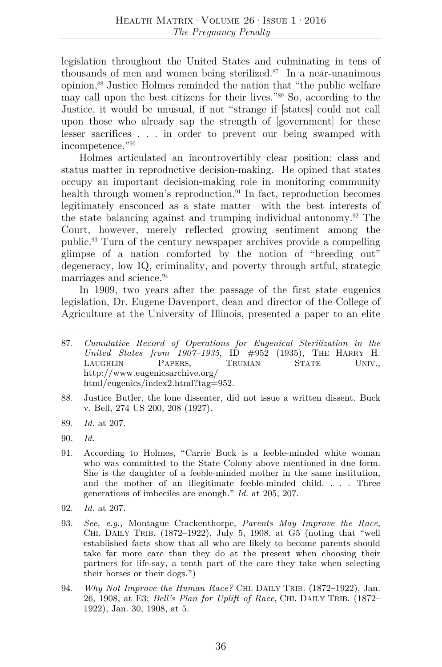legislation throughout the United States and culminating in tens of thousands of men and women being sterilized. $87$  In a near-unanimous opinion,88 Justice Holmes reminded the nation that "the public welfare may call upon the best citizens for their lives."89 So, according to the Justice, it would be unusual, if not "strange if [states] could not call upon those who already sap the strength of [government] for these lesser sacrifices . . . in order to prevent our being swamped with incompetence."90

Holmes articulated an incontrovertibly clear position: class and status matter in reproductive decision-making. He opined that states occupy an important decision-making role in monitoring community health through women's reproduction. $91$  In fact, reproduction becomes legitimately ensconced as a state matter—with the best interests of the state balancing against and trumping individual autonomy.92 The Court, however, merely reflected growing sentiment among the public.93 Turn of the century newspaper archives provide a compelling glimpse of a nation comforted by the notion of "breeding out" degeneracy, low IQ, criminality, and poverty through artful, strategic marriages and science.<sup>94</sup>

In 1909, two years after the passage of the first state eugenics legislation, Dr. Eugene Davenport, dean and director of the College of Agriculture at the University of Illinois, presented a paper to an elite

- 87. *Cumulative Record of Operations for Eugenical Sterilization in the United States from 1907–1935*, ID #952 (1935), THE HARRY H. LAUGHLIN PAPERS, TRUMAN STATE UNIV., http://www.eugenicsarchive.org/ html/eugenics/index2.html?tag=952.
- 88. Justice Butler, the lone dissenter, did not issue a written dissent. Buck v. Bell, 274 US 200, 208 (1927).
- 89. *Id.* at 207.
- 90. *Id.*
- 91. According to Holmes, "Carrie Buck is a feeble-minded white woman who was committed to the State Colony above mentioned in due form. She is the daughter of a feeble-minded mother in the same institution, and the mother of an illegitimate feeble-minded child. . . . Three generations of imbeciles are enough." *Id.* at 205, 207.
- 92. *Id.* at 207.
- 93. *See, e.g.,* Montague Crackenthorpe, *Parents May Improve the Race*, CHI. DAILY TRIB. (1872–1922), July 5, 1908, at G5 (noting that "well established facts show that all who are likely to become parents should take far more care than they do at the present when choosing their partners for life-say, a tenth part of the care they take when selecting their horses or their dogs.")
- 94. *Why Not Improve the Human Race?* CHI. DAILY TRIB. (1872–1922), Jan. 26, 1908, at E3; *Bell's Plan for Uplift of Race*, CHI. DAILY TRIB. (1872– 1922), Jan. 30, 1908, at 5.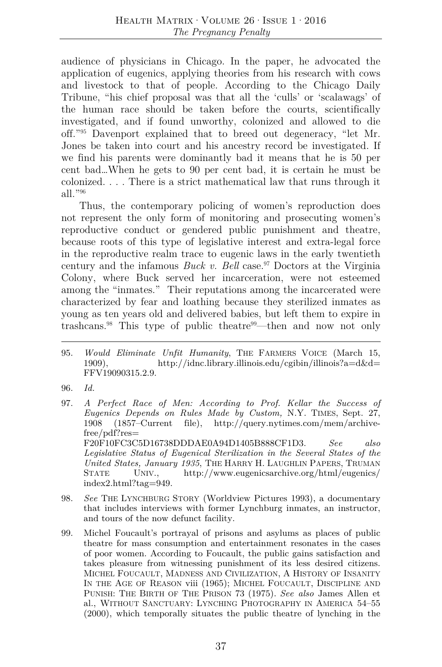audience of physicians in Chicago. In the paper, he advocated the application of eugenics, applying theories from his research with cows and livestock to that of people. According to the Chicago Daily Tribune, "his chief proposal was that all the 'culls' or 'scalawags' of the human race should be taken before the courts, scientifically investigated, and if found unworthy, colonized and allowed to die off."95 Davenport explained that to breed out degeneracy, "let Mr. Jones be taken into court and his ancestry record be investigated. If we find his parents were dominantly bad it means that he is 50 per cent bad…When he gets to 90 per cent bad, it is certain he must be colonized. . . . There is a strict mathematical law that runs through it all."96

Thus, the contemporary policing of women's reproduction does not represent the only form of monitoring and prosecuting women's reproductive conduct or gendered public punishment and theatre, because roots of this type of legislative interest and extra-legal force in the reproductive realm trace to eugenic laws in the early twentieth century and the infamous *Buck v. Bell* case.<sup>97</sup> Doctors at the Virginia Colony, where Buck served her incarceration, were not esteemed among the "inmates." Their reputations among the incarcerated were characterized by fear and loathing because they sterilized inmates as young as ten years old and delivered babies, but left them to expire in trashcans.<sup>98</sup> This type of public theatre<sup>99</sup>—then and now not only

- 97. *A Perfect Race of Men: According to Prof. Kellar the Success of Eugenics Depends on Rules Made by Custom,* N.Y. TIMES, Sept. 27, 1908 (1857–Current file), http://query.nytimes.com/mem/archivefree/pdf?res= F20F10FC3C5D16738DDDAE0A94D1405B888CF1D3. *See also Legislative Status of Eugenical Sterilization in the Several States of the United States, January 1935*, THE HARRY H. LAUGHLIN PAPERS, TRUMAN STATE UNIV., http://www.eugenicsarchive.org/html/eugenics/ index2.html?tag=949.
- 98. *See* THE LYNCHBURG STORY (Worldview Pictures 1993), a documentary that includes interviews with former Lynchburg inmates, an instructor, and tours of the now defunct facility.
- 99. Michel Foucault's portrayal of prisons and asylums as places of public theatre for mass consumption and entertainment resonates in the cases of poor women. According to Foucault, the public gains satisfaction and takes pleasure from witnessing punishment of its less desired citizens. MICHEL FOUCAULT, MADNESS AND CIVILIZATION, A HISTORY OF INSANITY IN THE AGE OF REASON viii (1965); MICHEL FOUCAULT, DISCIPLINE AND PUNISH: THE BIRTH OF THE PRISON 73 (1975). *See also* James Allen et al., WITHOUT SANCTUARY: LYNCHING PHOTOGRAPHY IN AMERICA 54–55 (2000), which temporally situates the public theatre of lynching in the

<sup>95.</sup> *Would Eliminate Unfit Humanity*, THE FARMERS VOICE (March 15, 1909), http://idnc.library.illinois.edu/cgibin/illinois?a=d&d= FFV19090315.2.9.

<sup>96.</sup> *Id.*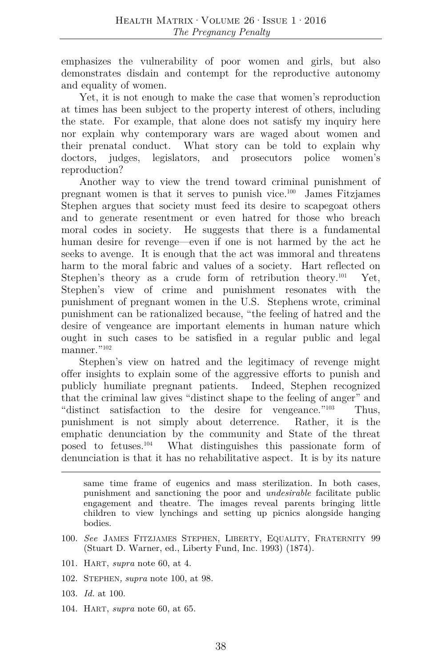emphasizes the vulnerability of poor women and girls, but also demonstrates disdain and contempt for the reproductive autonomy and equality of women.

Yet, it is not enough to make the case that women's reproduction at times has been subject to the property interest of others, including the state. For example, that alone does not satisfy my inquiry here nor explain why contemporary wars are waged about women and their prenatal conduct. What story can be told to explain why doctors, judges, legislators, and prosecutors police women's reproduction?

Another way to view the trend toward criminal punishment of pregnant women is that it serves to punish vice.100 James Fitzjames Stephen argues that society must feed its desire to scapegoat others and to generate resentment or even hatred for those who breach moral codes in society. He suggests that there is a fundamental human desire for revenge—even if one is not harmed by the act he seeks to avenge. It is enough that the act was immoral and threatens harm to the moral fabric and values of a society. Hart reflected on Stephen's theory as a crude form of retribution theory.<sup>101</sup> Yet, Stephen's view of crime and punishment resonates with the punishment of pregnant women in the U.S. Stephens wrote, criminal punishment can be rationalized because, "the feeling of hatred and the desire of vengeance are important elements in human nature which ought in such cases to be satisfied in a regular public and legal manner<sup>"102</sup>

Stephen's view on hatred and the legitimacy of revenge might offer insights to explain some of the aggressive efforts to punish and publicly humiliate pregnant patients. Indeed, Stephen recognized that the criminal law gives "distinct shape to the feeling of anger" and "distinct satisfaction to the desire for vengeance."103 Thus, punishment is not simply about deterrence. Rather, it is the emphatic denunciation by the community and State of the threat posed to fetuses.104 What distinguishes this passionate form of denunciation is that it has no rehabilitative aspect. It is by its nature

- 101. HART, *supra* note 60, at 4.
- 102. STEPHEN*, supra* note 100, at 98.
- 103. *Id.* at 100.
- 104. HART, *supra* note 60, at 65.

same time frame of eugenics and mass sterilization. In both cases, punishment and sanctioning the poor and *undesirable* facilitate public engagement and theatre. The images reveal parents bringing little children to view lynchings and setting up picnics alongside hanging bodies.

<sup>100.</sup> *See* JAMES FITZJAMES STEPHEN, LIBERTY, EQUALITY, FRATERNITY 99 (Stuart D. Warner, ed., Liberty Fund, Inc. 1993) (1874).